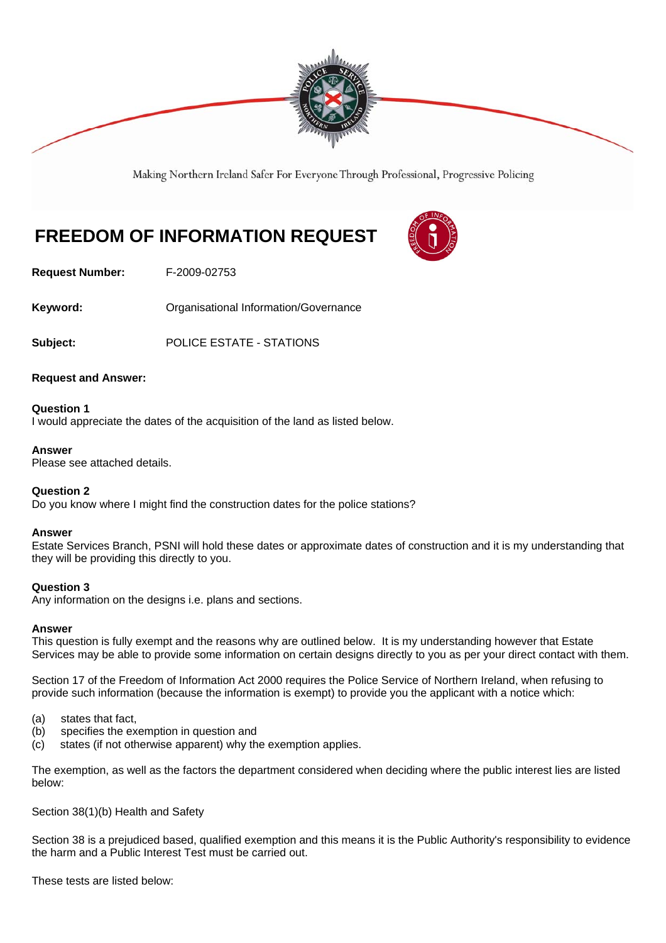

Making Northern Ireland Safer For Everyone Through Professional, Progressive Policing

# **FREEDOM OF INFORMATION REQUEST**



**Request Number:** F-2009-02753

**Keyword: C**rganisational Information/Governance

**Subject:** POLICE ESTATE - STATIONS

# **Request and Answer:**

**Question 1**  I would appreciate the dates of the acquisition of the land as listed below.

## **Answer**

Please see attached details.

# **Question 2**

Do you know where I might find the construction dates for the police stations?

## **Answer**

Estate Services Branch, PSNI will hold these dates or approximate dates of construction and it is my understanding that they will be providing this directly to you.

# **Question 3**

Any information on the designs i.e. plans and sections.

#### **Answer**

This question is fully exempt and the reasons why are outlined below. It is my understanding however that Estate Services may be able to provide some information on certain designs directly to you as per your direct contact with them.

Section 17 of the Freedom of Information Act 2000 requires the Police Service of Northern Ireland, when refusing to provide such information (because the information is exempt) to provide you the applicant with a notice which:

- (a) states that fact,
- (b) specifies the exemption in question and
- (c) states (if not otherwise apparent) why the exemption applies.

The exemption, as well as the factors the department considered when deciding where the public interest lies are listed below:

Section 38(1)(b) Health and Safety

Section 38 is a prejudiced based, qualified exemption and this means it is the Public Authority's responsibility to evidence the harm and a Public Interest Test must be carried out.

These tests are listed below: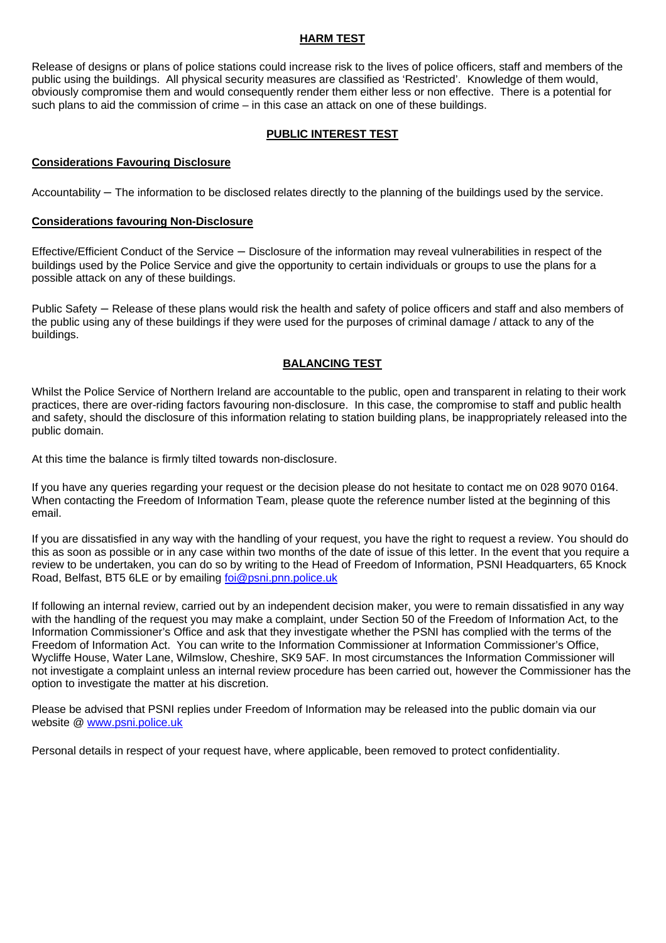#### **HARM TEST**

Release of designs or plans of police stations could increase risk to the lives of police officers, staff and members of the public using the buildings. All physical security measures are classified as 'Restricted'. Knowledge of them would, obviously compromise them and would consequently render them either less or non effective. There is a potential for such plans to aid the commission of crime – in this case an attack on one of these buildings.

## **PUBLIC INTEREST TEST**

## **Considerations Favouring Disclosure**

Accountability – The information to be disclosed relates directly to the planning of the buildings used by the service.

## **Considerations favouring Non-Disclosure**

Effective/Efficient Conduct of the Service – Disclosure of the information may reveal vulnerabilities in respect of the buildings used by the Police Service and give the opportunity to certain individuals or groups to use the plans for a possible attack on any of these buildings.

Public Safety – Release of these plans would risk the health and safety of police officers and staff and also members of the public using any of these buildings if they were used for the purposes of criminal damage / attack to any of the buildings.

# **BALANCING TEST**

Whilst the Police Service of Northern Ireland are accountable to the public, open and transparent in relating to their work practices, there are over-riding factors favouring non-disclosure. In this case, the compromise to staff and public health and safety, should the disclosure of this information relating to station building plans, be inappropriately released into the public domain.

At this time the balance is firmly tilted towards non-disclosure.

If you have any queries regarding your request or the decision please do not hesitate to contact me on 028 9070 0164. When contacting the Freedom of Information Team, please quote the reference number listed at the beginning of this email.

If you are dissatisfied in any way with the handling of your request, you have the right to request a review. You should do this as soon as possible or in any case within two months of the date of issue of this letter. In the event that you require a review to be undertaken, you can do so by writing to the Head of Freedom of Information, PSNI Headquarters, 65 Knock Road, Belfast, BT5 6LE or by emailing foi@psni.pnn.police.uk

If following an internal review, carried out by an independent decision maker, you were to remain dissatisfied in any way with the handling of the request you may make a complaint, under Section 50 of the Freedom of Information Act, to the Information Commissioner's Office and ask that they investigate whether the PSNI has complied with the terms of the Freedom of Information Act. You can write to the Information Commissioner at Information Commissioner's Office, Wycliffe House, Water Lane, Wilmslow, Cheshire, SK9 5AF. In most circumstances the Information Commissioner will not investigate a complaint unless an internal review procedure has been carried out, however the Commissioner has the option to investigate the matter at his discretion.

Please be advised that PSNI replies under Freedom of Information may be released into the public domain via our website @ www.psni.police.uk

Personal details in respect of your request have, where applicable, been removed to protect confidentiality.